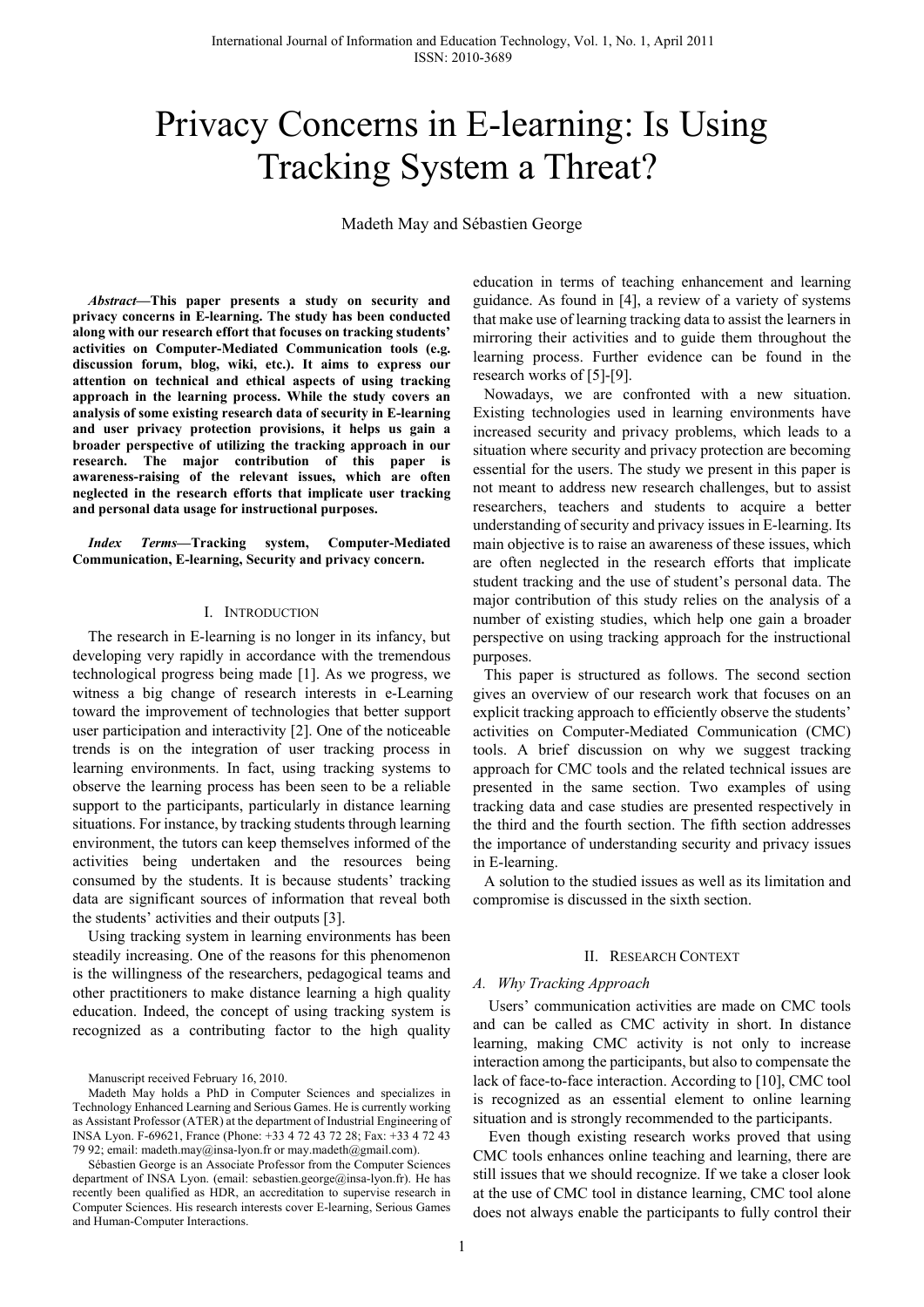# Privacy Concerns in E-learning: Is Using Tracking System a Threat?

Madeth May and Sébastien George

*Abstract***—This paper presents a study on security and privacy concerns in E-learning. The study has been conducted along with our research effort that focuses on tracking students' activities on Computer-Mediated Communication tools (e.g. discussion forum, blog, wiki, etc.). It aims to express our attention on technical and ethical aspects of using tracking approach in the learning process. While the study covers an analysis of some existing research data of security in E-learning and user privacy protection provisions, it helps us gain a broader perspective of utilizing the tracking approach in our research. The major contribution of this paper is awareness-raising of the relevant issues, which are often neglected in the research efforts that implicate user tracking and personal data usage for instructional purposes.** 

*Index Terms***—Tracking system, Computer-Mediated Communication, E-learning, Security and privacy concern.** 

#### I. INTRODUCTION

The research in E-learning is no longer in its infancy, but developing very rapidly in accordance with the tremendous technological progress being made [1]. As we progress, we witness a big change of research interests in e-Learning toward the improvement of technologies that better support user participation and interactivity [2]. One of the noticeable trends is on the integration of user tracking process in learning environments. In fact, using tracking systems to observe the learning process has been seen to be a reliable support to the participants, particularly in distance learning situations. For instance, by tracking students through learning environment, the tutors can keep themselves informed of the activities being undertaken and the resources being consumed by the students. It is because students' tracking data are significant sources of information that reveal both the students' activities and their outputs [3].

Using tracking system in learning environments has been steadily increasing. One of the reasons for this phenomenon is the willingness of the researchers, pedagogical teams and other practitioners to make distance learning a high quality education. Indeed, the concept of using tracking system is recognized as a contributing factor to the high quality

Manuscript received February 16, 2010.

Sébastien George is an Associate Professor from the Computer Sciences department of INSA Lyon. (email: sebastien.george@insa-lyon.fr). He has recently been qualified as HDR, an accreditation to supervise research in Computer Sciences. His research interests cover E-learning, Serious Games and Human-Computer Interactions.

education in terms of teaching enhancement and learning guidance. As found in [4], a review of a variety of systems that make use of learning tracking data to assist the learners in mirroring their activities and to guide them throughout the learning process. Further evidence can be found in the research works of [5]-[9].

Nowadays, we are confronted with a new situation. Existing technologies used in learning environments have increased security and privacy problems, which leads to a situation where security and privacy protection are becoming essential for the users. The study we present in this paper is not meant to address new research challenges, but to assist researchers, teachers and students to acquire a better understanding of security and privacy issues in E-learning. Its main objective is to raise an awareness of these issues, which are often neglected in the research efforts that implicate student tracking and the use of student's personal data. The major contribution of this study relies on the analysis of a number of existing studies, which help one gain a broader perspective on using tracking approach for the instructional purposes.

This paper is structured as follows. The second section gives an overview of our research work that focuses on an explicit tracking approach to efficiently observe the students' activities on Computer-Mediated Communication (CMC) tools. A brief discussion on why we suggest tracking approach for CMC tools and the related technical issues are presented in the same section. Two examples of using tracking data and case studies are presented respectively in the third and the fourth section. The fifth section addresses the importance of understanding security and privacy issues in E-learning.

A solution to the studied issues as well as its limitation and compromise is discussed in the sixth section.

#### II. RESEARCH CONTEXT

## *A. Why Tracking Approach*

Users' communication activities are made on CMC tools and can be called as CMC activity in short. In distance learning, making CMC activity is not only to increase interaction among the participants, but also to compensate the lack of face-to-face interaction. According to [10], CMC tool is recognized as an essential element to online learning situation and is strongly recommended to the participants.

Even though existing research works proved that using CMC tools enhances online teaching and learning, there are still issues that we should recognize. If we take a closer look at the use of CMC tool in distance learning, CMC tool alone does not always enable the participants to fully control their

Madeth May holds a PhD in Computer Sciences and specializes in Technology Enhanced Learning and Serious Games. He is currently working as Assistant Professor (ATER) at the department of Industrial Engineering of INSA Lyon. F-69621, France (Phone: +33 4 72 43 72 28; Fax: +33 4 72 43 79 92; email: madeth.may@insa-lyon.fr or may.madeth@gmail.com).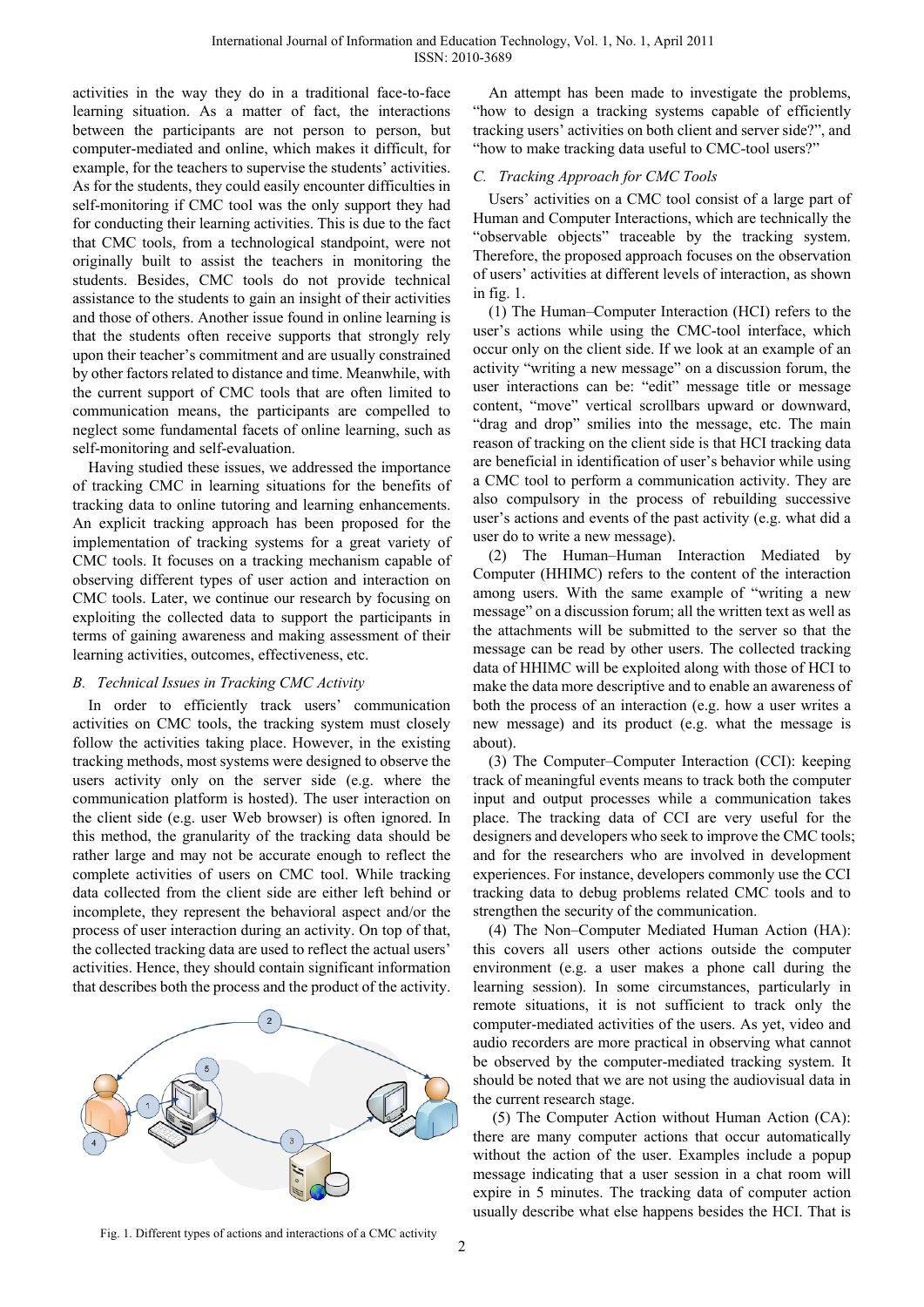activities in the way they do in a traditional face-to-face learning situation. As a matter of fact, the interactions between the participants are not person to person, but computer-mediated and online, which makes it difficult, for example, for the teachers to supervise the students' activities. As for the students, they could easily encounter difficulties in self-monitoring if CMC tool was the only support they had for conducting their learning activities. This is due to the fact that CMC tools, from a technological standpoint, were not originally built to assist the teachers in monitoring the students. Besides, CMC tools do not provide technical assistance to the students to gain an insight of their activities and those of others. Another issue found in online learning is that the students often receive supports that strongly rely upon their teacher's commitment and are usually constrained by other factors related to distance and time. Meanwhile, with the current support of CMC tools that are often limited to communication means, the participants are compelled to neglect some fundamental facets of online learning, such as self-monitoring and self-evaluation.

Having studied these issues, we addressed the importance of tracking CMC in learning situations for the benefits of tracking data to online tutoring and learning enhancements. An explicit tracking approach has been proposed for the implementation of tracking systems for a great variety of CMC tools. It focuses on a tracking mechanism capable of observing different types of user action and interaction on CMC tools. Later, we continue our research by focusing on exploiting the collected data to support the participants in terms of gaining awareness and making assessment of their learning activities, outcomes, effectiveness, etc.

# *B. Technical Issues in Tracking CMC Activity*

In order to efficiently track users' communication activities on CMC tools, the tracking system must closely follow the activities taking place. However, in the existing tracking methods, most systems were designed to observe the users activity only on the server side (e.g. where the communication platform is hosted). The user interaction on the client side (e.g. user Web browser) is often ignored. In this method, the granularity of the tracking data should be rather large and may not be accurate enough to reflect the complete activities of users on CMC tool. While tracking data collected from the client side are either left behind or incomplete, they represent the behavioral aspect and/or the process of user interaction during an activity. On top of that, the collected tracking data are used to reflect the actual users' activities. Hence, they should contain significant information that describes both the process and the product of the activity.



An attempt has been made to investigate the problems, "how to design a tracking systems capable of efficiently tracking users' activities on both client and server side?", and "how to make tracking data useful to CMC-tool users?"

# *C. Tracking Approach for CMC Tools*

Users' activities on a CMC tool consist of a large part of Human and Computer Interactions, which are technically the "observable objects" traceable by the tracking system. Therefore, the proposed approach focuses on the observation of users' activities at different levels of interaction, as shown in fig. 1.

(1) The Human–Computer Interaction (HCI) refers to the user's actions while using the CMC-tool interface, which occur only on the client side. If we look at an example of an activity "writing a new message" on a discussion forum, the user interactions can be: "edit" message title or message content, "move" vertical scrollbars upward or downward, "drag and drop" smilies into the message, etc. The main reason of tracking on the client side is that HCI tracking data are beneficial in identification of user's behavior while using a CMC tool to perform a communication activity. They are also compulsory in the process of rebuilding successive user's actions and events of the past activity (e.g. what did a user do to write a new message).

(2) The Human–Human Interaction Mediated by Computer (HHIMC) refers to the content of the interaction among users. With the same example of "writing a new message" on a discussion forum; all the written text as well as the attachments will be submitted to the server so that the message can be read by other users. The collected tracking data of HHIMC will be exploited along with those of HCI to make the data more descriptive and to enable an awareness of both the process of an interaction (e.g. how a user writes a new message) and its product (e.g. what the message is about).

(3) The Computer–Computer Interaction (CCI): keeping track of meaningful events means to track both the computer input and output processes while a communication takes place. The tracking data of CCI are very useful for the designers and developers who seek to improve the CMC tools; and for the researchers who are involved in development experiences. For instance, developers commonly use the CCI tracking data to debug problems related CMC tools and to strengthen the security of the communication.

(4) The Non–Computer Mediated Human Action (HA): this covers all users other actions outside the computer environment (e.g. a user makes a phone call during the learning session). In some circumstances, particularly in remote situations, it is not sufficient to track only the computer-mediated activities of the users. As yet, video and audio recorders are more practical in observing what cannot be observed by the computer-mediated tracking system. It should be noted that we are not using the audiovisual data in the current research stage.

 (5) The Computer Action without Human Action (CA): there are many computer actions that occur automatically without the action of the user. Examples include a popup message indicating that a user session in a chat room will expire in 5 minutes. The tracking data of computer action usually describe what else happens besides the HCI. That is

Fig. 1. Different types of actions and interactions of a CMC activity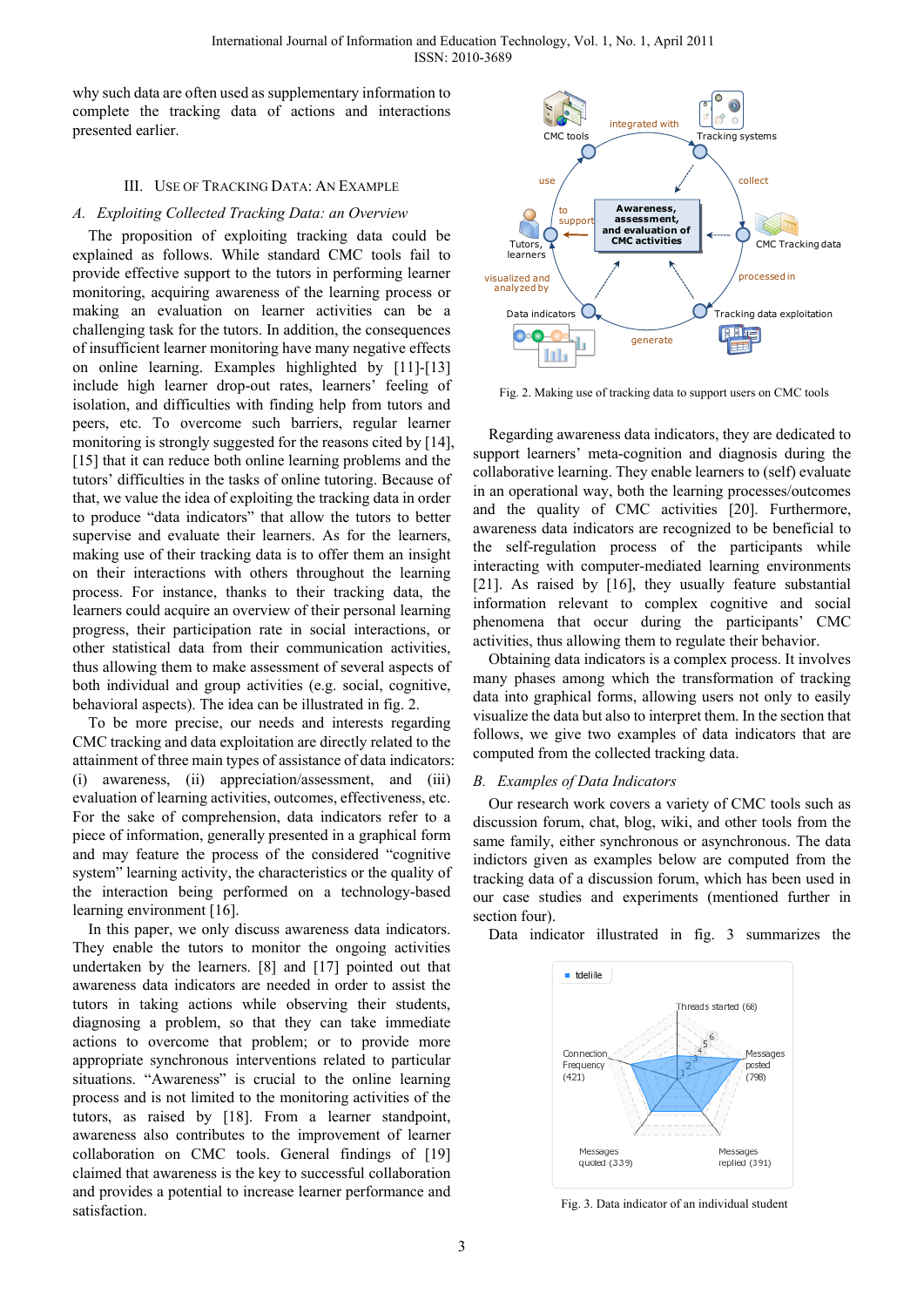why such data are often used as supplementary information to complete the tracking data of actions and interactions presented earlier.

## III. USE OF TRACKING DATA: AN EXAMPLE

# *A. Exploiting Collected Tracking Data: an Overview*

The proposition of exploiting tracking data could be explained as follows. While standard CMC tools fail to provide effective support to the tutors in performing learner monitoring, acquiring awareness of the learning process or making an evaluation on learner activities can be a challenging task for the tutors. In addition, the consequences of insufficient learner monitoring have many negative effects on online learning. Examples highlighted by [11]-[13] include high learner drop-out rates, learners' feeling of isolation, and difficulties with finding help from tutors and peers, etc. To overcome such barriers, regular learner monitoring is strongly suggested for the reasons cited by [14], [15] that it can reduce both online learning problems and the tutors' difficulties in the tasks of online tutoring. Because of that, we value the idea of exploiting the tracking data in order to produce "data indicators" that allow the tutors to better supervise and evaluate their learners. As for the learners, making use of their tracking data is to offer them an insight on their interactions with others throughout the learning process. For instance, thanks to their tracking data, the learners could acquire an overview of their personal learning progress, their participation rate in social interactions, or other statistical data from their communication activities, thus allowing them to make assessment of several aspects of both individual and group activities (e.g. social, cognitive, behavioral aspects). The idea can be illustrated in fig. 2.

To be more precise, our needs and interests regarding CMC tracking and data exploitation are directly related to the attainment of three main types of assistance of data indicators: (i) awareness, (ii) appreciation/assessment, and (iii) evaluation of learning activities, outcomes, effectiveness, etc. For the sake of comprehension, data indicators refer to a piece of information, generally presented in a graphical form and may feature the process of the considered "cognitive system" learning activity, the characteristics or the quality of the interaction being performed on a technology-based learning environment [16].

In this paper, we only discuss awareness data indicators. They enable the tutors to monitor the ongoing activities undertaken by the learners. [8] and [17] pointed out that awareness data indicators are needed in order to assist the tutors in taking actions while observing their students, diagnosing a problem, so that they can take immediate actions to overcome that problem; or to provide more appropriate synchronous interventions related to particular situations. "Awareness" is crucial to the online learning process and is not limited to the monitoring activities of the tutors, as raised by [18]. From a learner standpoint, awareness also contributes to the improvement of learner collaboration on CMC tools. General findings of [19] claimed that awareness is the key to successful collaboration and provides a potential to increase learner performance and satisfaction.



Fig. 2. Making use of tracking data to support users on CMC tools

Regarding awareness data indicators, they are dedicated to support learners' meta-cognition and diagnosis during the collaborative learning. They enable learners to (self) evaluate in an operational way, both the learning processes/outcomes and the quality of CMC activities [20]. Furthermore, awareness data indicators are recognized to be beneficial to the self-regulation process of the participants while interacting with computer-mediated learning environments [21]. As raised by [16], they usually feature substantial information relevant to complex cognitive and social phenomena that occur during the participants' CMC activities, thus allowing them to regulate their behavior.

Obtaining data indicators is a complex process. It involves many phases among which the transformation of tracking data into graphical forms, allowing users not only to easily visualize the data but also to interpret them. In the section that follows, we give two examples of data indicators that are computed from the collected tracking data.

# *B. Examples of Data Indicators*

Our research work covers a variety of CMC tools such as discussion forum, chat, blog, wiki, and other tools from the same family, either synchronous or asynchronous. The data indictors given as examples below are computed from the tracking data of a discussion forum, which has been used in our case studies and experiments (mentioned further in section four).

Data indicator illustrated in fig. 3 summarizes the



Fig. 3. Data indicator of an individual student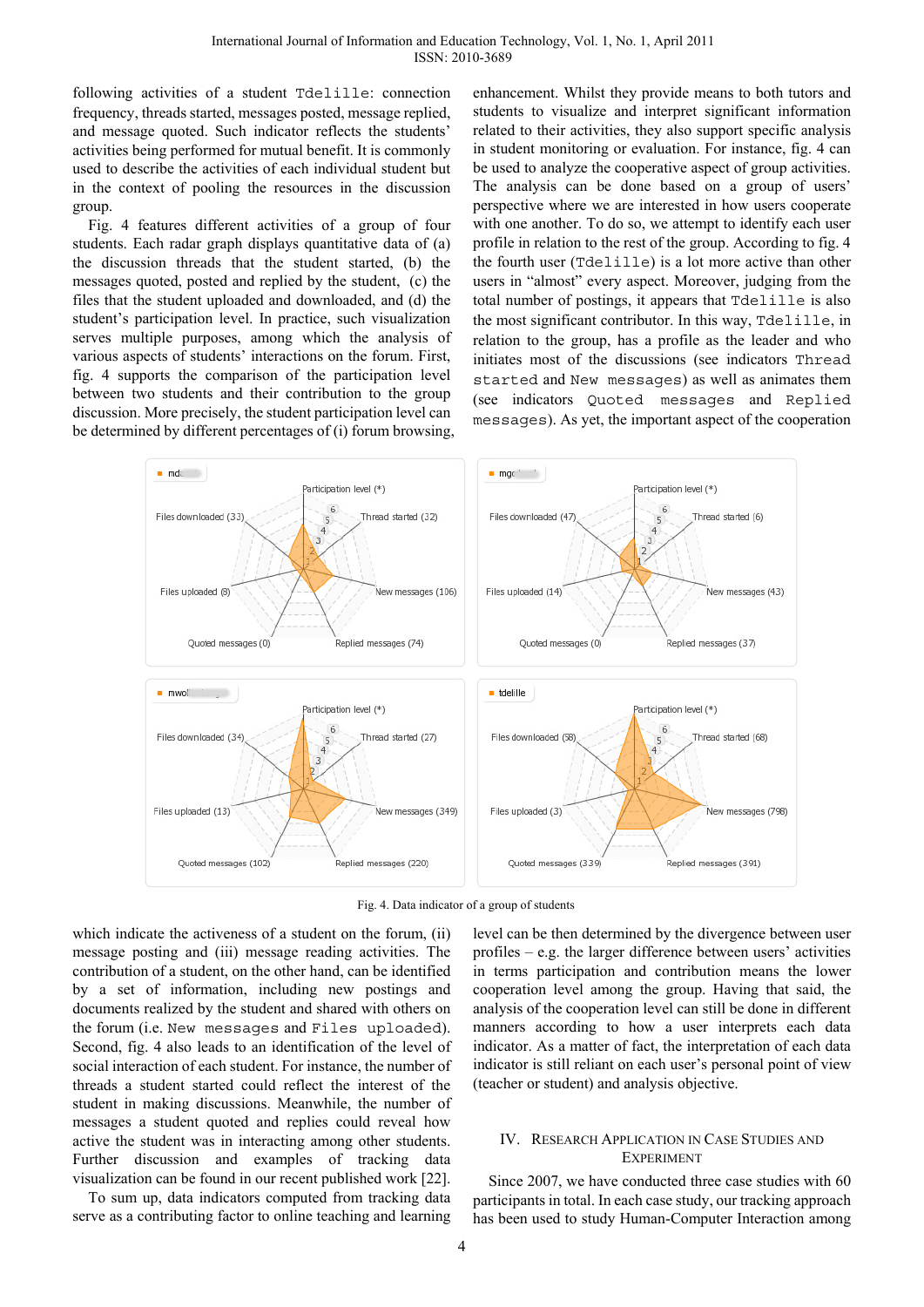following activities of a student Tdelille: connection frequency, threads started, messages posted, message replied, and message quoted. Such indicator reflects the students' activities being performed for mutual benefit. It is commonly used to describe the activities of each individual student but in the context of pooling the resources in the discussion group.

Fig. 4 features different activities of a group of four students. Each radar graph displays quantitative data of (a) the discussion threads that the student started, (b) the messages quoted, posted and replied by the student, (c) the files that the student uploaded and downloaded, and (d) the student's participation level. In practice, such visualization serves multiple purposes, among which the analysis of various aspects of students' interactions on the forum. First, fig. 4 supports the comparison of the participation level between two students and their contribution to the group discussion. More precisely, the student participation level can be determined by different percentages of (i) forum browsing, enhancement. Whilst they provide means to both tutors and students to visualize and interpret significant information related to their activities, they also support specific analysis in student monitoring or evaluation. For instance, fig. 4 can be used to analyze the cooperative aspect of group activities. The analysis can be done based on a group of users' perspective where we are interested in how users cooperate with one another. To do so, we attempt to identify each user profile in relation to the rest of the group. According to fig. 4 the fourth user (Tdelille) is a lot more active than other users in "almost" every aspect. Moreover, judging from the total number of postings, it appears that Tdelille is also the most significant contributor. In this way, Tdelille, in relation to the group, has a profile as the leader and who initiates most of the discussions (see indicators Thread started and New messages) as well as animates them (see indicators Quoted messages and Replied messages). As yet, the important aspect of the cooperation



Fig. 4. Data indicator of a group of students

which indicate the activeness of a student on the forum, (ii) message posting and (iii) message reading activities. The contribution of a student, on the other hand, can be identified by a set of information, including new postings and documents realized by the student and shared with others on the forum (i.e. New messages and Files uploaded). Second, fig. 4 also leads to an identification of the level of social interaction of each student. For instance, the number of threads a student started could reflect the interest of the student in making discussions. Meanwhile, the number of messages a student quoted and replies could reveal how active the student was in interacting among other students. Further discussion and examples of tracking data visualization can be found in our recent published work [22].

To sum up, data indicators computed from tracking data serve as a contributing factor to online teaching and learning level can be then determined by the divergence between user profiles – e.g. the larger difference between users' activities in terms participation and contribution means the lower cooperation level among the group. Having that said, the analysis of the cooperation level can still be done in different manners according to how a user interprets each data indicator. As a matter of fact, the interpretation of each data indicator is still reliant on each user's personal point of view (teacher or student) and analysis objective.

#### IV. RESEARCH APPLICATION IN CASE STUDIES AND EXPERIMENT

Since 2007, we have conducted three case studies with 60 participants in total. In each case study, our tracking approach has been used to study Human-Computer Interaction among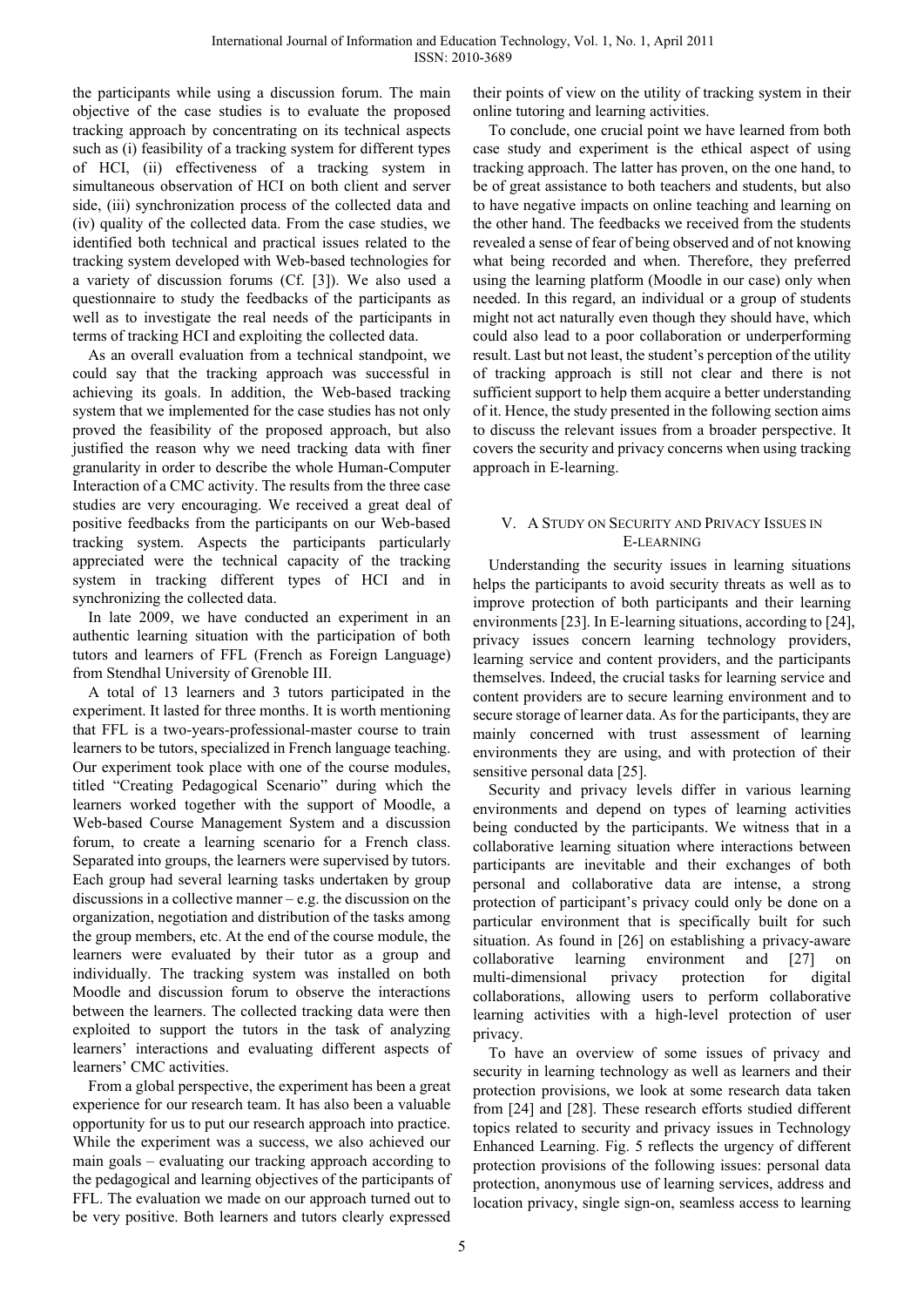the participants while using a discussion forum. The main objective of the case studies is to evaluate the proposed tracking approach by concentrating on its technical aspects such as (i) feasibility of a tracking system for different types of HCI, (ii) effectiveness of a tracking system in simultaneous observation of HCI on both client and server side, (iii) synchronization process of the collected data and (iv) quality of the collected data. From the case studies, we identified both technical and practical issues related to the tracking system developed with Web-based technologies for a variety of discussion forums (Cf. [3]). We also used a questionnaire to study the feedbacks of the participants as well as to investigate the real needs of the participants in terms of tracking HCI and exploiting the collected data.

As an overall evaluation from a technical standpoint, we could say that the tracking approach was successful in achieving its goals. In addition, the Web-based tracking system that we implemented for the case studies has not only proved the feasibility of the proposed approach, but also justified the reason why we need tracking data with finer granularity in order to describe the whole Human-Computer Interaction of a CMC activity. The results from the three case studies are very encouraging. We received a great deal of positive feedbacks from the participants on our Web-based tracking system. Aspects the participants particularly appreciated were the technical capacity of the tracking system in tracking different types of HCI and in synchronizing the collected data.

In late 2009, we have conducted an experiment in an authentic learning situation with the participation of both tutors and learners of FFL (French as Foreign Language) from Stendhal University of Grenoble III.

A total of 13 learners and 3 tutors participated in the experiment. It lasted for three months. It is worth mentioning that FFL is a two-years-professional-master course to train learners to be tutors, specialized in French language teaching. Our experiment took place with one of the course modules, titled "Creating Pedagogical Scenario" during which the learners worked together with the support of Moodle, a Web-based Course Management System and a discussion forum, to create a learning scenario for a French class. Separated into groups, the learners were supervised by tutors. Each group had several learning tasks undertaken by group discussions in a collective manner – e.g. the discussion on the organization, negotiation and distribution of the tasks among the group members, etc. At the end of the course module, the learners were evaluated by their tutor as a group and individually. The tracking system was installed on both Moodle and discussion forum to observe the interactions between the learners. The collected tracking data were then exploited to support the tutors in the task of analyzing learners' interactions and evaluating different aspects of learners' CMC activities.

From a global perspective, the experiment has been a great experience for our research team. It has also been a valuable opportunity for us to put our research approach into practice. While the experiment was a success, we also achieved our main goals – evaluating our tracking approach according to the pedagogical and learning objectives of the participants of FFL. The evaluation we made on our approach turned out to be very positive. Both learners and tutors clearly expressed

their points of view on the utility of tracking system in their online tutoring and learning activities.

To conclude, one crucial point we have learned from both case study and experiment is the ethical aspect of using tracking approach. The latter has proven, on the one hand, to be of great assistance to both teachers and students, but also to have negative impacts on online teaching and learning on the other hand. The feedbacks we received from the students revealed a sense of fear of being observed and of not knowing what being recorded and when. Therefore, they preferred using the learning platform (Moodle in our case) only when needed. In this regard, an individual or a group of students might not act naturally even though they should have, which could also lead to a poor collaboration or underperforming result. Last but not least, the student's perception of the utility of tracking approach is still not clear and there is not sufficient support to help them acquire a better understanding of it. Hence, the study presented in the following section aims to discuss the relevant issues from a broader perspective. It covers the security and privacy concerns when using tracking approach in E-learning.

# V. A STUDY ON SECURITY AND PRIVACY ISSUES IN E-LEARNING

Understanding the security issues in learning situations helps the participants to avoid security threats as well as to improve protection of both participants and their learning environments [23]. In E-learning situations, according to [24], privacy issues concern learning technology providers, learning service and content providers, and the participants themselves. Indeed, the crucial tasks for learning service and content providers are to secure learning environment and to secure storage of learner data. As for the participants, they are mainly concerned with trust assessment of learning environments they are using, and with protection of their sensitive personal data [25].

Security and privacy levels differ in various learning environments and depend on types of learning activities being conducted by the participants. We witness that in a collaborative learning situation where interactions between participants are inevitable and their exchanges of both personal and collaborative data are intense, a strong protection of participant's privacy could only be done on a particular environment that is specifically built for such situation. As found in [26] on establishing a privacy-aware collaborative learning environment and [27] on multi-dimensional privacy protection for digital collaborations, allowing users to perform collaborative learning activities with a high-level protection of user privacy.

To have an overview of some issues of privacy and security in learning technology as well as learners and their protection provisions, we look at some research data taken from [24] and [28]. These research efforts studied different topics related to security and privacy issues in Technology Enhanced Learning. Fig. 5 reflects the urgency of different protection provisions of the following issues: personal data protection, anonymous use of learning services, address and location privacy, single sign-on, seamless access to learning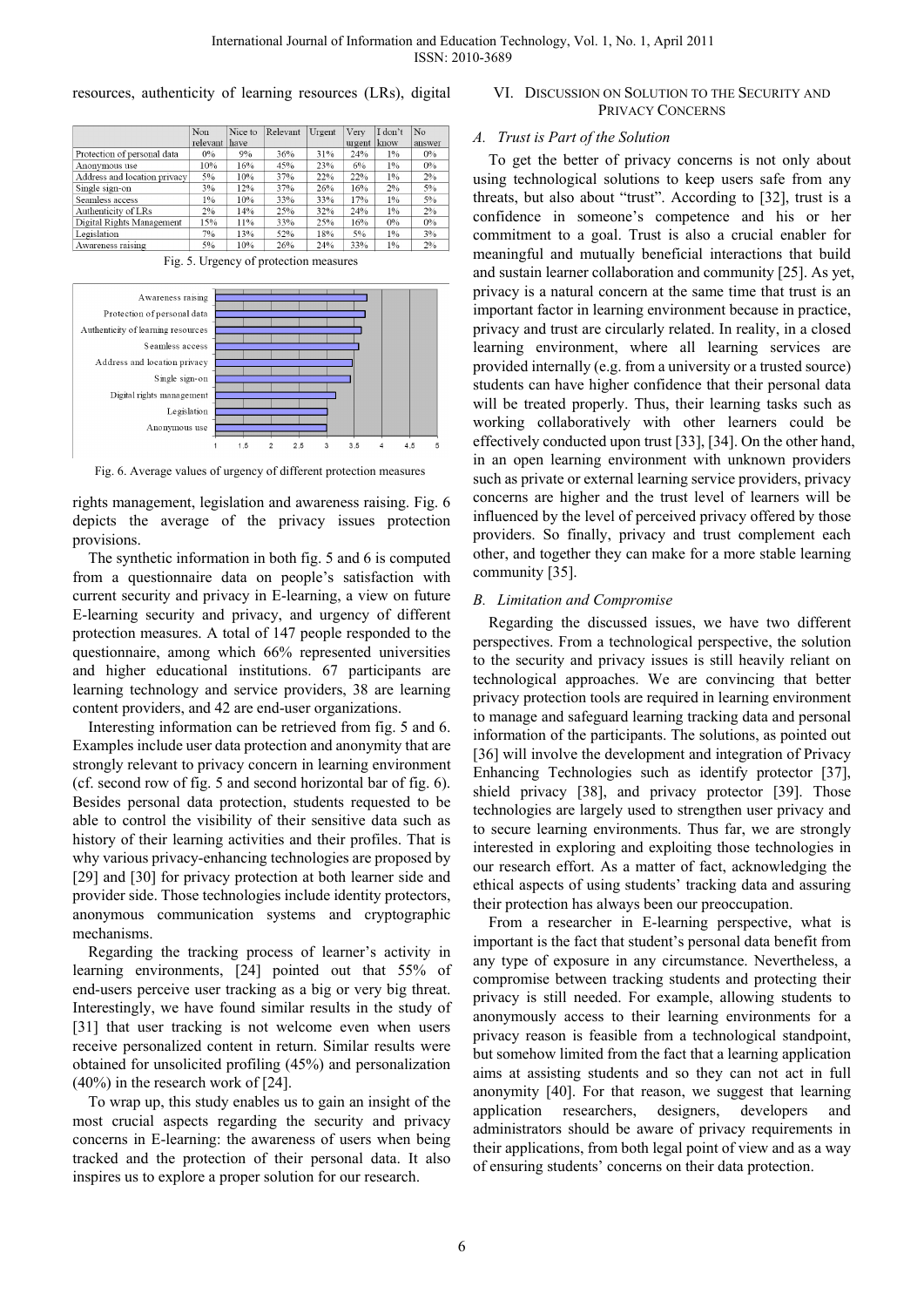resources, authenticity of learning resources (LRs), digital

|                              | Non      | Nice to | Relevant | Urgent | Very   | I don't | N <sub>0</sub> |
|------------------------------|----------|---------|----------|--------|--------|---------|----------------|
|                              | relevant | have    |          |        | urgent | know    | answer         |
| Protection of personal data  | $0\%$    | 9%      | 36%      | 31%    | 24%    | $1\%$   | $0\%$          |
| Anonymous use                | 10%      | 16%     | 45%      | 23%    | 6%     | $1\%$   | 0%             |
| Address and location privacy | 5%       | 10%     | 37%      | 22%    | 22%    | 1%      | $2\%$          |
| Single sign-on               | $3\%$    | 12%     | 37%      | 26%    | 16%    | 2%      | $5\%$          |
| Seamless access              | $1\%$    | 10%     | 33%      | 33%    | 17%    | $1\%$   | 5%             |
| Authenticity of LRs          | $2\%$    | 14%     | 25%      | 32%    | 24%    | 1%      | $2\%$          |
| Digital Rights Management    | 15%      | 11%     | 33%      | 25%    | 16%    | 0%      | 0%             |
| Legislation                  | $7\%$    | 13%     | 52%      | 18%    | 5%     | $1\%$   | $3\%$          |
| Awareness raising            | $5\%$    | 10%     | 26%      | 24%    | 33%    | 1%      | 2%             |

Fig. 5. Urgency of protection measures



Fig. 6. Average values of urgency of different protection measures

rights management, legislation and awareness raising. Fig. 6 depicts the average of the privacy issues protection provisions.

The synthetic information in both fig. 5 and 6 is computed from a questionnaire data on people's satisfaction with current security and privacy in E-learning, a view on future E-learning security and privacy, and urgency of different protection measures. A total of 147 people responded to the questionnaire, among which 66% represented universities and higher educational institutions. 67 participants are learning technology and service providers, 38 are learning content providers, and 42 are end-user organizations.

Interesting information can be retrieved from fig. 5 and 6. Examples include user data protection and anonymity that are strongly relevant to privacy concern in learning environment (cf. second row of fig. 5 and second horizontal bar of fig. 6). Besides personal data protection, students requested to be able to control the visibility of their sensitive data such as history of their learning activities and their profiles. That is why various privacy-enhancing technologies are proposed by [29] and [30] for privacy protection at both learner side and provider side. Those technologies include identity protectors, anonymous communication systems and cryptographic mechanisms.

Regarding the tracking process of learner's activity in learning environments, [24] pointed out that 55% of end-users perceive user tracking as a big or very big threat. Interestingly, we have found similar results in the study of [31] that user tracking is not welcome even when users receive personalized content in return. Similar results were obtained for unsolicited profiling (45%) and personalization  $(40\%)$  in the research work of [24].

To wrap up, this study enables us to gain an insight of the most crucial aspects regarding the security and privacy concerns in E-learning: the awareness of users when being tracked and the protection of their personal data. It also inspires us to explore a proper solution for our research.

## VI. DISCUSSION ON SOLUTION TO THE SECURITY AND PRIVACY CONCERNS

#### *A. Trust is Part of the Solution*

To get the better of privacy concerns is not only about using technological solutions to keep users safe from any threats, but also about "trust". According to [32], trust is a confidence in someone's competence and his or her commitment to a goal. Trust is also a crucial enabler for meaningful and mutually beneficial interactions that build and sustain learner collaboration and community [25]. As yet, privacy is a natural concern at the same time that trust is an important factor in learning environment because in practice, privacy and trust are circularly related. In reality, in a closed learning environment, where all learning services are provided internally (e.g. from a university or a trusted source) students can have higher confidence that their personal data will be treated properly. Thus, their learning tasks such as working collaboratively with other learners could be effectively conducted upon trust [33], [34]. On the other hand, in an open learning environment with unknown providers such as private or external learning service providers, privacy concerns are higher and the trust level of learners will be influenced by the level of perceived privacy offered by those providers. So finally, privacy and trust complement each other, and together they can make for a more stable learning community [35].

## *B. Limitation and Compromise*

Regarding the discussed issues, we have two different perspectives. From a technological perspective, the solution to the security and privacy issues is still heavily reliant on technological approaches. We are convincing that better privacy protection tools are required in learning environment to manage and safeguard learning tracking data and personal information of the participants. The solutions, as pointed out [36] will involve the development and integration of Privacy Enhancing Technologies such as identify protector [37], shield privacy [38], and privacy protector [39]. Those technologies are largely used to strengthen user privacy and to secure learning environments. Thus far, we are strongly interested in exploring and exploiting those technologies in our research effort. As a matter of fact, acknowledging the ethical aspects of using students' tracking data and assuring their protection has always been our preoccupation.

From a researcher in E-learning perspective, what is important is the fact that student's personal data benefit from any type of exposure in any circumstance. Nevertheless, a compromise between tracking students and protecting their privacy is still needed. For example, allowing students to anonymously access to their learning environments for a privacy reason is feasible from a technological standpoint, but somehow limited from the fact that a learning application aims at assisting students and so they can not act in full anonymity [40]. For that reason, we suggest that learning application researchers, designers, developers and administrators should be aware of privacy requirements in their applications, from both legal point of view and as a way of ensuring students' concerns on their data protection.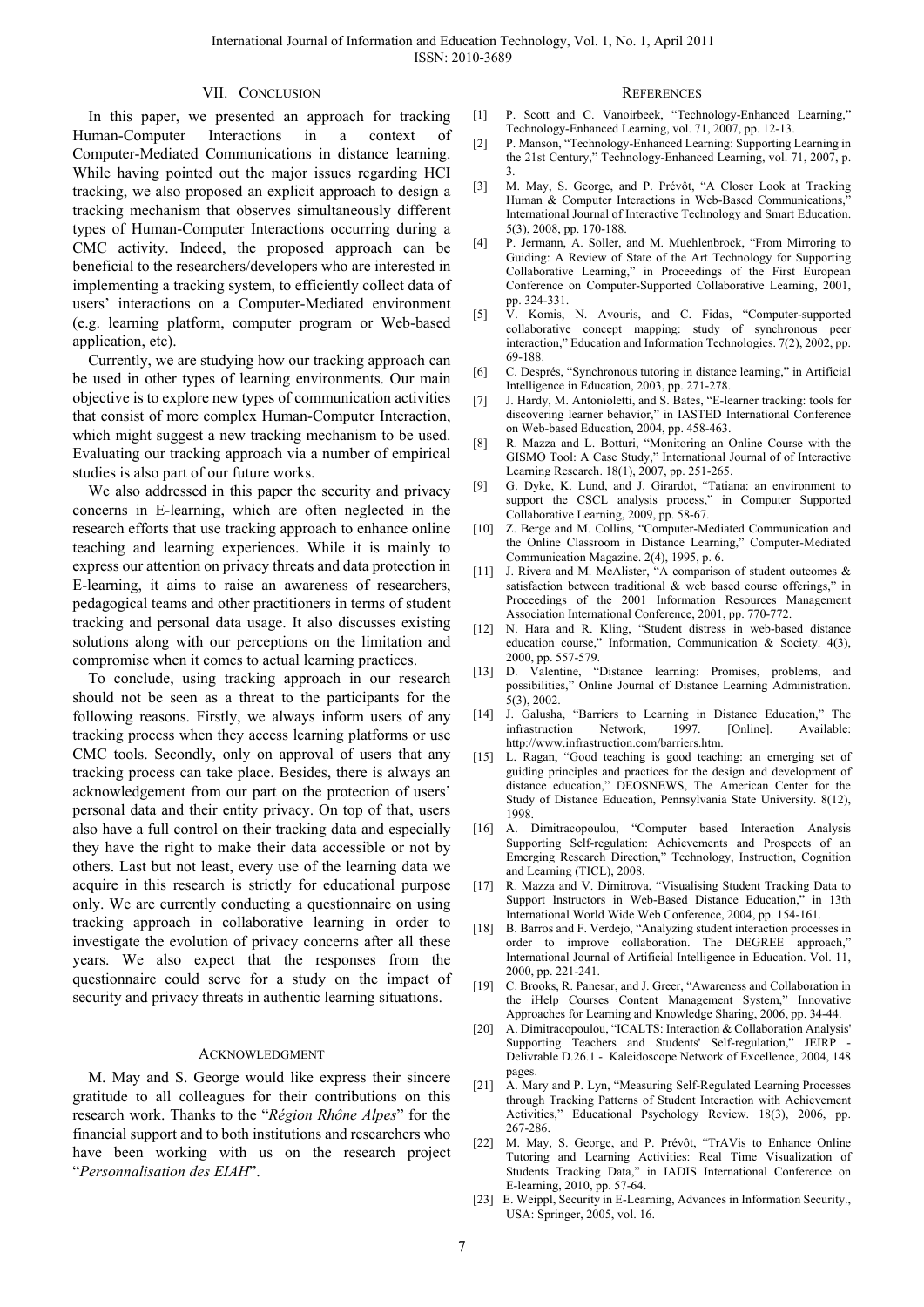## VII. CONCLUSION

In this paper, we presented an approach for tracking Human-Computer Interactions in a context of Computer-Mediated Communications in distance learning. While having pointed out the major issues regarding HCI tracking, we also proposed an explicit approach to design a tracking mechanism that observes simultaneously different types of Human-Computer Interactions occurring during a CMC activity. Indeed, the proposed approach can be beneficial to the researchers/developers who are interested in implementing a tracking system, to efficiently collect data of users' interactions on a Computer-Mediated environment (e.g. learning platform, computer program or Web-based application, etc).

Currently, we are studying how our tracking approach can be used in other types of learning environments. Our main objective is to explore new types of communication activities that consist of more complex Human-Computer Interaction, which might suggest a new tracking mechanism to be used. Evaluating our tracking approach via a number of empirical studies is also part of our future works.

We also addressed in this paper the security and privacy concerns in E-learning, which are often neglected in the research efforts that use tracking approach to enhance online teaching and learning experiences. While it is mainly to express our attention on privacy threats and data protection in E-learning, it aims to raise an awareness of researchers, pedagogical teams and other practitioners in terms of student tracking and personal data usage. It also discusses existing solutions along with our perceptions on the limitation and compromise when it comes to actual learning practices.

To conclude, using tracking approach in our research should not be seen as a threat to the participants for the following reasons. Firstly, we always inform users of any tracking process when they access learning platforms or use CMC tools. Secondly, only on approval of users that any tracking process can take place. Besides, there is always an acknowledgement from our part on the protection of users' personal data and their entity privacy. On top of that, users also have a full control on their tracking data and especially they have the right to make their data accessible or not by others. Last but not least, every use of the learning data we acquire in this research is strictly for educational purpose only. We are currently conducting a questionnaire on using tracking approach in collaborative learning in order to investigate the evolution of privacy concerns after all these years. We also expect that the responses from the questionnaire could serve for a study on the impact of security and privacy threats in authentic learning situations.

#### ACKNOWLEDGMENT

M. May and S. George would like express their sincere gratitude to all colleagues for their contributions on this research work. Thanks to the "*Région Rhône Alpes*" for the financial support and to both institutions and researchers who have been working with us on the research project "*Personnalisation des EIAH*".

#### **REFERENCES**

- [1] P. Scott and C. Vanoirbeek, "Technology-Enhanced Learning," Technology-Enhanced Learning, vol. 71, 2007, pp. 12-13.
- [2] P. Manson, "Technology-Enhanced Learning: Supporting Learning in the 21st Century," Technology-Enhanced Learning, vol. 71, 2007, p. 3.
- [3] M. May, S. George, and P. Prévôt, "A Closer Look at Tracking Human & Computer Interactions in Web-Based Communications,<sup>\*</sup> International Journal of Interactive Technology and Smart Education. 5(3), 2008, pp. 170-188.
- [4] P. Jermann, A. Soller, and M. Muehlenbrock, "From Mirroring to Guiding: A Review of State of the Art Technology for Supporting Collaborative Learning," in Proceedings of the First European Conference on Computer-Supported Collaborative Learning, 2001, pp. 324-331.
- [5] V. Komis, N. Avouris, and C. Fidas, "Computer-supported collaborative concept mapping: study of synchronous peer interaction," Education and Information Technologies. 7(2), 2002, pp. 69-188.
- [6] C. Després, "Synchronous tutoring in distance learning," in Artificial Intelligence in Education, 2003, pp. 271-278.
- [7] J. Hardy, M. Antonioletti, and S. Bates, "E-learner tracking: tools for discovering learner behavior," in IASTED International Conference on Web-based Education, 2004, pp. 458-463.
- [8] R. Mazza and L. Botturi, "Monitoring an Online Course with the GISMO Tool: A Case Study," International Journal of of Interactive Learning Research. 18(1), 2007, pp. 251-265.
- [9] G. Dyke, K. Lund, and J. Girardot, "Tatiana: an environment to support the CSCL analysis process," in Computer Supported Collaborative Learning, 2009, pp. 58-67.
- [10] Z. Berge and M. Collins, "Computer-Mediated Communication and the Online Classroom in Distance Learning," Computer-Mediated Communication Magazine. 2(4), 1995, p. 6.
- [11] J. Rivera and M. McAlister, "A comparison of student outcomes & satisfaction between traditional & web based course offerings," in Proceedings of the 2001 Information Resources Management Association International Conference, 2001, pp. 770-772.
- [12] N. Hara and R. Kling, "Student distress in web-based distance education course," Information, Communication & Society. 4(3), 2000, pp. 557-579.
- [13] D. Valentine, "Distance learning: Promises, problems, and possibilities," Online Journal of Distance Learning Administration. 5(3), 2002.
- [14] J. Galusha, "Barriers to Learning in Distance Education," The infrastruction Network, 1997. [Online]. Available: http://www.infrastruction.com/barriers.htm.
- [15] L. Ragan, "Good teaching is good teaching: an emerging set of guiding principles and practices for the design and development of distance education," DEOSNEWS, The American Center for the Study of Distance Education, Pennsylvania State University. 8(12), 1998.
- [16] A. Dimitracopoulou, "Computer based Interaction Analysis Supporting Self-regulation: Achievements and Prospects of an Emerging Research Direction," Technology, Instruction, Cognition and Learning (TICL), 2008.
- [17] R. Mazza and V. Dimitrova, "Visualising Student Tracking Data to Support Instructors in Web-Based Distance Education," in 13th International World Wide Web Conference, 2004, pp. 154-161.
- [18] B. Barros and F. Verdejo, "Analyzing student interaction processes in order to improve collaboration. The DEGREE approach," International Journal of Artificial Intelligence in Education. Vol. 11, 2000, pp. 221-241.
- [19] C. Brooks, R. Panesar, and J. Greer, "Awareness and Collaboration in the iHelp Courses Content Management System," Innovative Approaches for Learning and Knowledge Sharing, 2006, pp. 34-44.
- [20] A. Dimitracopoulou, "ICALTS: Interaction & Collaboration Analysis' Supporting Teachers and Students' Self-regulation," JEIRP - Delivrable D.26.1 - Kaleidoscope Network of Excellence, 2004, 148 pages.
- [21] A. Mary and P. Lyn, "Measuring Self-Regulated Learning Processes through Tracking Patterns of Student Interaction with Achievement Activities," Educational Psychology Review. 18(3), 2006, pp. 267-286.
- [22] M. May, S. George, and P. Prévôt, "TrAVis to Enhance Online Tutoring and Learning Activities: Real Time Visualization of Students Tracking Data," in IADIS International Conference on E-learning, 2010, pp. 57-64.
- [23] E. Weippl, Security in E-Learning, Advances in Information Security., USA: Springer, 2005, vol. 16.